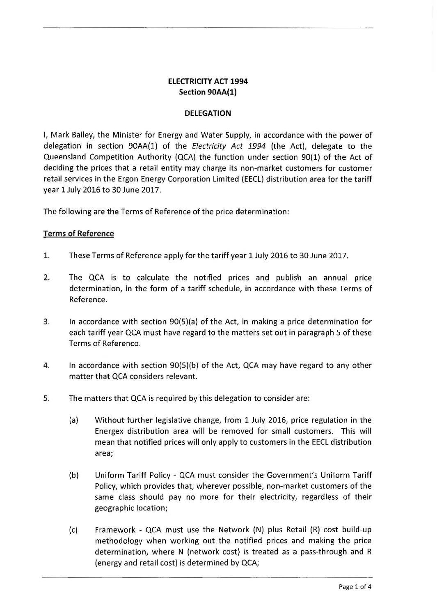# **ELECTRICITY ACT 1994 Section 90AA(1)**

#### **DELEGATION**

I, Mark Bailey, the Minister for Energy and Water Supply, in accordance with the power of delegation in section 90AA(1) of the Electricity Act 1994 (the Act), delegate to the Queensland Competition Authority (QCA) the function under section 90(1) of the Act of deciding the prices that a retail entity may charge its non-market customers for customer retail services in the Ergon Energy Corporation Limited (EECL) distribution area for the tariff year 1 July 2016 to 30 June 2017.

The following are the Terms of Reference of the price determination:

### **Terms of Reference**

- 1. These Terms of Reference apply for the tariff year 1 July 2016 to 30 June 2017.
- 2. The QCA is to calculate the notified prices and publish an annual price determination, in the form of a tariff schedule, in accordance with these Terms of Reference.
- 3. In accordance with section 90(S)(a) of the Act, in making a price determination for each tariff year QCA must have regard to the matters set out in paragraph 5 of these Terms of Reference.
- 4. In accordance with section 90(S)(b) of the Act, QCA may have regard to any other matter that QCA considers relevant.
- 5. The matters that QCA is required by this delegation to consider are:
	- (a) Without further legislative change, from 1 July 2016, price regulation in the Energex distribution area will be removed for small customers. This will mean that notified prices will only apply to customers in the EECL distribution area;
	- (b) Uniform Tariff Policy- QCA must consider the Government's Uniform Tariff Policy, which provides that, wherever possible, non-market customers of the same class should pay no more for their electricity, regardless of their geographic location;
	- (c) Framework QCA must use the Network (N) plus Retail (R) cost build-up methodology when working out the notified prices and making the price determination, where N (network cost) is treated as a pass-through and R (energy and retail cost) is determined by QCA;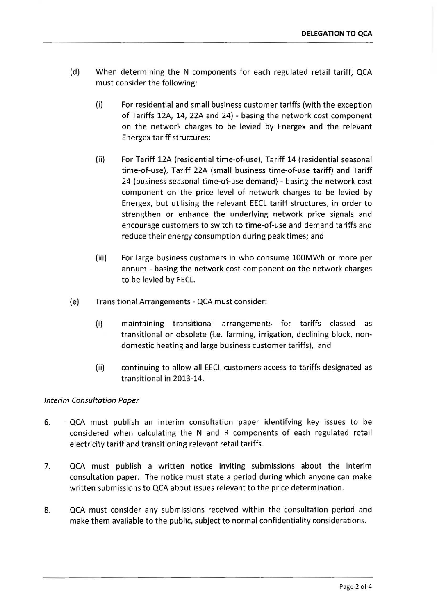- (d) When determining the N components for each regulated retail tariff, QCA must consider the following:
	- (i) For residential and small business customer tariffs (with the exception of Tariffs 12A, 14, 22A and 24) - basing the network cost component on the network charges to be levied by Energex and the relevant Energex tariff structures;
	- (ii) For Tariff 12A (residential time-of-use), Tariff 14 (residential seasonal time-of-use), Tariff 22A (small business time-of-use tariff) and Tariff 24 (business seasonal time-of-use demand) - basing the network cost component on the price level of network charges to be levied by Energex, but utilising the relevant EECL tariff structures, in order to strengthen or enhance the underlying network price signals and encourage customers to switch to time-of-use and demand tariffs and reduce their energy consumption during peak times; and
	- (iii) For large business customers in who consume 100MWh or more per annum - basing the network cost component on the network charges to be levied by EECL.
- (e) Transitional Arrangements- QCA must consider:
	- (i) maintaining transitional arrangements for tariffs classed as transitional or obsolete (i.e. farming, irrigation, declining block, nondomestic heating and large business customer tariffs), and
	- (ii) continuing to allow all EECL customers access to tariffs designated as transitional in 2013-14.

### Interim Consultation Paper

- 6. QCA must publish an interim consultation paper identifying key issues to be considered when calculating the N and R components of each regulated retail electricity tariff and transitioning relevant retail tariffs.
- 7. QCA must publish a written notice inviting submissions about the interim consultation paper. The notice must state a period during which anyone can make written submissions to QCA about issues relevant to the price determination.
- 8. QCA must consider any submissions received within the consultation period and make them available to the public, subject to normal confidentiality considerations.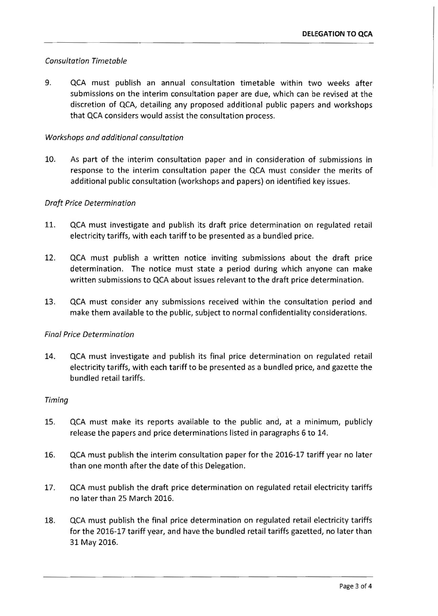## *Consultation Timetable*

9. QCA must publish an annual consultation timetable within two weeks after submissions on the interim consultation paper are due, which can be revised at the discretion of QCA, detailing any proposed additional public papers and workshops that QCA considers would assist the consultation process.

### *Workshops and additional consultation*

10. As part of the interim consultation paper and in consideration of submissions in response to the interim consultation paper the QCA must consider the merits of additional public consultation (workshops and papers) on identified key issues.

### *Draft Price Determination*

- 11. QCA must investigate and publish its draft price determination on regulated retail electricity tariffs, with each tariff to be presented as a bundled price.
- 12. QCA must publish a written notice inviting submissions about the draft price determination. The notice must state a period during which anyone can make written submissions to QCA about issues relevant to the draft price determination.
- 13. QCA must consider any submissions received within the consultation period and make them available to the public, subject to normal confidentiality considerations.

### *Final Price Determination*

14. QCA must investigate and publish its final price determination on regulated retail electricity tariffs, with each tariff to be presented as a bundled price, and gazette the bundled retail tariffs.

### *Timing*

- 15. QCA must make its reports available to the public and, at a minimum, publicly release the papers and price determinations listed in paragraphs 6 to 14.
- 16. QCA must publish the interim consultation paper for the 2016-17 tariff year no later than one month after the date of this Delegation.
- 17. QCA must publish the draft price determination on regulated retail electricity tariffs no later than 25 March 2016.
- 18. QCA must publish the final price determination on regulated retail electricity tariffs for the 2016-17 tariff year, and have the bundled retail tariffs gazetted, no later than 31 May 2016.